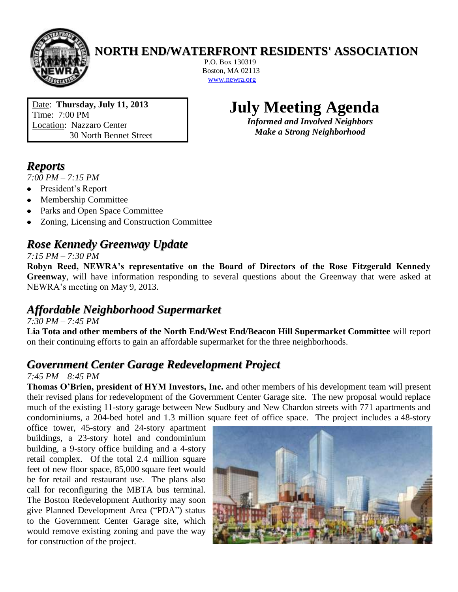

#### **NORTH END/WATERFRONT RESIDENTS' ASSOCIATION**

P.O. Box 130319 Boston, MA 02113 [www.newra.org](http://www.newra.org/)

Date: **Thursday, July 11, 2013** Time: 7:00 PM Location: Nazzaro Center 30 North Bennet Street

# **July Meeting Agenda**

*Informed and Involved Neighbors Make a Strong Neighborhood*

## *Reports*

*7:00 PM – 7:15 PM*

- President's Report  $\bullet$
- Membership Committee  $\bullet$
- Parks and Open Space Committee
- Zoning, Licensing and Construction Committee

# *Rose Kennedy Greenway Update*

#### *7:15 PM – 7:30 PM*

**Robyn Reed, NEWRA's representative on the Board of Directors of the Rose Fitzgerald Kennedy Greenway**, will have information responding to several questions about the Greenway that were asked at NEWRA's meeting on May 9, 2013.

### *Affordable Neighborhood Supermarket*

*7:30 PM – 7:45 PM*

**Lia Tota and other members of the North End/West End/Beacon Hill Supermarket Committee** will report on their continuing efforts to gain an affordable supermarket for the three neighborhoods.

#### *Government Center Garage Redevelopment Project*

#### *7:45 PM – 8:45 PM*

**Thomas O'Brien, president of HYM Investors, Inc.** and other members of his development team will present their revised plans for redevelopment of the Government Center Garage site. The new proposal would replace much of the existing 11-story garage between New Sudbury and New Chardon streets with 771 apartments and condominiums, a 204-bed hotel and 1.3 million square feet of office space. The project includes a 48-story

office tower, 45-story and 24-story apartment buildings, a 23-story hotel and condominium building, a 9-story office building and a 4-story retail complex. Of the total 2.4 million square feet of new floor space, 85,000 square feet would be for retail and restaurant use. The plans also call for reconfiguring the MBTA bus terminal. The Boston Redevelopment Authority may soon give Planned Development Area ("PDA") status to the Government Center Garage site, which would remove existing zoning and pave the way for construction of the project.